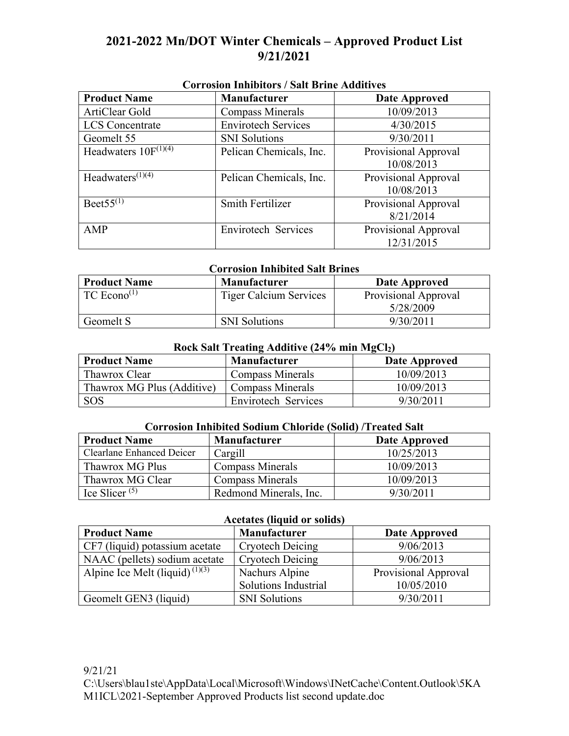# **2021-2022 Mn/DOT Winter Chemicals – Approved Product List 9/21/2021**

| <b>Product Name</b>       | Corrosión Immonors / Ban Drinc Aguitres<br><b>Manufacturer</b> | Date Approved                      |
|---------------------------|----------------------------------------------------------------|------------------------------------|
| ArtiClear Gold            | <b>Compass Minerals</b>                                        | 10/09/2013                         |
| <b>LCS</b> Concentrate    | <b>Envirotech Services</b>                                     | 4/30/2015                          |
| Geomelt 55                | <b>SNI</b> Solutions                                           | 9/30/2011                          |
| Headwaters $10F^{(1)(4)}$ | Pelican Chemicals, Inc.                                        | Provisional Approval<br>10/08/2013 |
| Headwaters $(1)(4)$       | Pelican Chemicals, Inc.                                        | Provisional Approval<br>10/08/2013 |
| Beet $55^{(1)}$           | <b>Smith Fertilizer</b>                                        | Provisional Approval<br>8/21/2014  |
| AMP                       | Envirotech Services                                            | Provisional Approval<br>12/31/2015 |

## **Corrosion Inhibitors / Salt Brine Additives**

#### **Corrosion Inhibited Salt Brines**

| <b>Product Name</b> | <b>Manufacturer</b>           | Date Approved        |
|---------------------|-------------------------------|----------------------|
| TC $Econo^{(1)}$    | <b>Tiger Calcium Services</b> | Provisional Approval |
|                     |                               | 5/28/2009            |
| Geomelt S           | <b>SNI</b> Solutions          | 9/30/2011            |

### **Rock Salt Treating Additive (24% min MgCl2)**

| <b>Product Name</b>        | Manufacturer            | Date Approved |
|----------------------------|-------------------------|---------------|
| Thawrox Clear              | <b>Compass Minerals</b> | 10/09/2013    |
| Thawrox MG Plus (Additive) | <b>Compass Minerals</b> | 10/09/2013    |
| SOS                        | Envirotech Services     | 9/30/2011     |

#### **Corrosion Inhibited Sodium Chloride (Solid) /Treated Salt**

| <b>Product Name</b>       | <b>Manufacturer</b>     | Date Approved |
|---------------------------|-------------------------|---------------|
| Clearlane Enhanced Deicer | Cargill                 | 10/25/2013    |
| Thawrox MG Plus           | <b>Compass Minerals</b> | 10/09/2013    |
| Thawrox MG Clear          | Compass Minerals        | 10/09/2013    |
| Ice Slicer $(5)$          | Redmond Minerals, Inc.  | 9/30/2011     |

#### **Acetates (liquid or solids)**

| <b>Product Name</b>                        | Manufacturer            | Date Approved        |
|--------------------------------------------|-------------------------|----------------------|
| CF7 (liquid) potassium acetate             | <b>Cryotech Deicing</b> | 9/06/2013            |
| NAAC (pellets) sodium acetate              | <b>Cryotech Deicing</b> | 9/06/2013            |
| Alpine Ice Melt (liquid) <sup>(1)(3)</sup> | Nachurs Alpine          | Provisional Approval |
|                                            | Solutions Industrial    | 10/05/2010           |
| Geomelt GEN3 (liquid)                      | <b>SNI</b> Solutions    | 9/30/2011            |